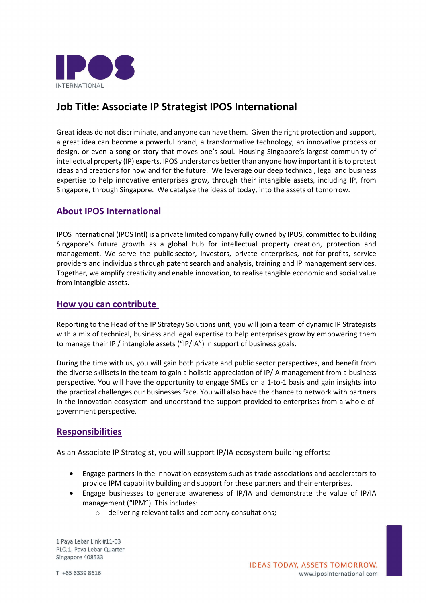

# **Job Title: Associate IP Strategist IPOS International**

Great ideas do not discriminate, and anyone can have them. Given the right protection and support, a great idea can become a powerful brand, a transformative technology, an innovative process or design, or even a song or story that moves one's soul. Housing Singapore's largest community of intellectual property (IP) experts, IPOS understands better than anyone how important it is to protect ideas and creations for now and for the future. We leverage our deep technical, legal and business expertise to help innovative enterprises grow, through their intangible assets, including IP, from Singapore, through Singapore. We catalyse the ideas of today, into the assets of tomorrow.

## **About IPOS International**

IPOS International (IPOS Intl) is a private limited company fully owned by IPOS, committed to building Singapore's future growth as a global hub for intellectual property creation, protection and management. We serve the public sector, investors, private enterprises, not-for-profits, service providers and individuals through patent search and analysis, training and IP management services. Together, we amplify creativity and enable innovation, to realise tangible economic and social value from intangible assets.

#### **How you can contribute**

Reporting to the Head of the IP Strategy Solutions unit, you will join a team of dynamic IP Strategists with a mix of technical, business and legal expertise to help enterprises grow by empowering them to manage their IP / intangible assets ("IP/IA") in support of business goals.

During the time with us, you will gain both private and public sector perspectives, and benefit from the diverse skillsets in the team to gain a holistic appreciation of IP/IA management from a business perspective. You will have the opportunity to engage SMEs on a 1-to-1 basis and gain insights into the practical challenges our businesses face. You will also have the chance to network with partners in the innovation ecosystem and understand the support provided to enterprises from a whole-ofgovernment perspective.

### **Responsibilities**

As an Associate IP Strategist, you will support IP/IA ecosystem building efforts:

- Engage partners in the innovation ecosystem such as trade associations and accelerators to provide IPM capability building and support for these partners and their enterprises.
- Engage businesses to generate awareness of IP/IA and demonstrate the value of IP/IA management ("IPM"). This includes:
	- o delivering relevant talks and company consultations;

1 Paya Lebar Link #11-03 PLQ 1, Paya Lebar Quarter Singapore 408533

T +65 6339 8616